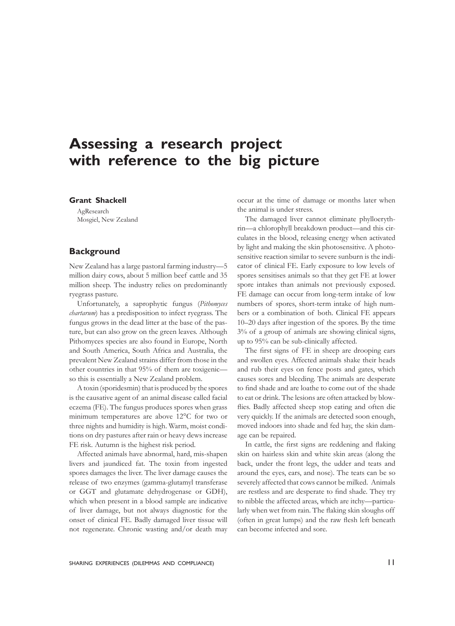# **Assessing a research project with reference to the big picture**

#### **Grant Shackell**

AgResearch Mosgiel, New Zealand

# **Background**

New Zealand has a large pastoral farming industry—5 million dairy cows, about 5 million beef cattle and 35 million sheep. The industry relies on predominantly ryegrass pasture.

Unfortunately, a saprophytic fungus (*Pithomyces chartarum*) has a predisposition to infect ryegrass. The fungus grows in the dead litter at the base of the pasture, but can also grow on the green leaves. Although Pithomyces species are also found in Europe, North and South America, South Africa and Australia, the prevalent New Zealand strains differ from those in the other countries in that 95% of them are toxigenic so this is essentially a New Zealand problem.

A toxin (sporidesmin) that is produced by the spores is the causative agent of an animal disease called facial eczema (FE). The fungus produces spores when grass minimum temperatures are above 12°C for two or three nights and humidity is high. Warm, moist conditions on dry pastures after rain or heavy dews increase FE risk. Autumn is the highest risk period.

Affected animals have abnormal, hard, mis-shapen livers and jaundiced fat. The toxin from ingested spores damages the liver. The liver damage causes the release of two enzymes (gamma-glutamyl transferase or GGT and glutamate dehydrogenase or GDH), which when present in a blood sample are indicative of liver damage, but not always diagnostic for the onset of clinical FE. Badly damaged liver tissue will not regenerate. Chronic wasting and/or death may

occur at the time of damage or months later when the animal is under stress.

The damaged liver cannot eliminate phylloerythrin—a chlorophyll breakdown product—and this circulates in the blood, releasing energy when activated by light and making the skin photosensitive. A photosensitive reaction similar to severe sunburn is the indicator of clinical FE. Early exposure to low levels of spores sensitises animals so that they get FE at lower spore intakes than animals not previously exposed. FE damage can occur from long-term intake of low numbers of spores, short-term intake of high numbers or a combination of both. Clinical FE appears 10–20 days after ingestion of the spores. By the time 3% of a group of animals are showing clinical signs, up to 95% can be sub-clinically affected.

 The first signs of FE in sheep are drooping ears and swollen eyes. Affected animals shake their heads and rub their eyes on fence posts and gates, which causes sores and bleeding. The animals are desperate to find shade and are loathe to come out of the shade to eat or drink. The lesions are often attacked by blowflies. Badly affected sheep stop eating and often die very quickly. If the animals are detected soon enough, moved indoors into shade and fed hay, the skin damage can be repaired.

 In cattle, the first signs are reddening and flaking skin on hairless skin and white skin areas (along the back, under the front legs, the udder and teats and around the eyes, ears, and nose). The teats can be so severely affected that cows cannot be milked. Animals are restless and are desperate to find shade. They try to nibble the affected areas, which are itchy—particularly when wet from rain. The flaking skin sloughs off (often in great lumps) and the raw flesh left beneath can become infected and sore.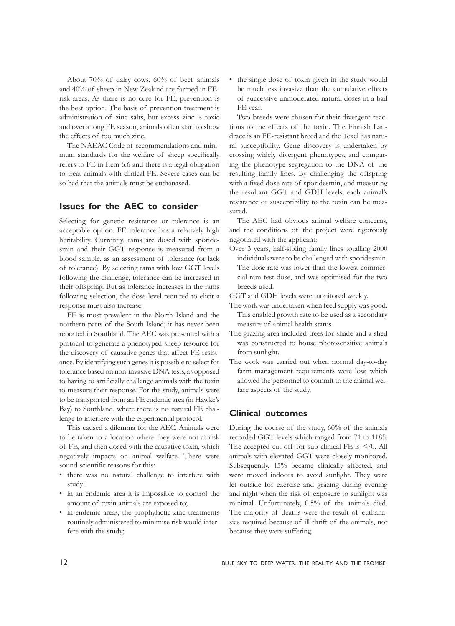About 70% of dairy cows, 60% of beef animals and 40% of sheep in New Zealand are farmed in FErisk areas. As there is no cure for FE, prevention is the best option. The basis of prevention treatment is administration of zinc salts, but excess zinc is toxic and over a long FE season, animals often start to show the effects of too much zinc.

The NAEAC Code of recommendations and minimum standards for the welfare of sheep specifically refers to FE in Item 6.6 and there is a legal obligation to treat animals with clinical FE. Severe cases can be so bad that the animals must be euthanased.

### **Issues for the AEC to consider**

Selecting for genetic resistance or tolerance is an acceptable option. FE tolerance has a relatively high heritability. Currently, rams are dosed with sporidesmin and their GGT response is measured from a blood sample, as an assessment of tolerance (or lack of tolerance). By selecting rams with low GGT levels following the challenge, tolerance can be increased in their offspring. But as tolerance increases in the rams following selection, the dose level required to elicit a response must also increase.

FE is most prevalent in the North Island and the northern parts of the South Island; it has never been reported in Southland. The AEC was presented with a protocol to generate a phenotyped sheep resource for the discovery of causative genes that affect FE resistance. By identifying such genes it is possible to select for tolerance based on non-invasive DNA tests, as opposed to having to artificially challenge animals with the toxin to measure their response. For the study, animals were to be transported from an FE endemic area (in Hawke's Bay) to Southland, where there is no natural FE challenge to interfere with the experimental protocol.

This caused a dilemma for the AEC. Animals were to be taken to a location where they were not at risk of FE, and then dosed with the causative toxin, which negatively impacts on animal welfare. There were sound scientific reasons for this:

- • there was no natural challenge to interfere with study;
- in an endemic area it is impossible to control the amount of toxin animals are exposed to;
- in endemic areas, the prophylactic zinc treatments routinely administered to minimise risk would interfere with the study;

• the single dose of toxin given in the study would be much less invasive than the cumulative effects of successive unmoderated natural doses in a bad FE year.

Two breeds were chosen for their divergent reactions to the effects of the toxin. The Finnish Landrace is an FE-resistant breed and the Texel has natural susceptibility. Gene discovery is undertaken by crossing widely divergent phenotypes, and comparing the phenotype segregation to the DNA of the resulting family lines. By challenging the offspring with a fixed dose rate of sporidesmin, and measuring the resultant GGT and GDH levels, each animal's resistance or susceptibility to the toxin can be measured.

The AEC had obvious animal welfare concerns, and the conditions of the project were rigorously negotiated with the applicant:

Over 3 years, half-sibling family lines totalling 2000 individuals were to be challenged with sporidesmin. The dose rate was lower than the lowest commercial ram test dose, and was optimised for the two breeds used.

GGT and GDH levels were monitored weekly.

- The work was undertaken when feed supply was good. This enabled growth rate to be used as a secondary measure of animal health status.
- The grazing area included trees for shade and a shed was constructed to house photosensitive animals from sunlight.
- The work was carried out when normal day-to-day farm management requirements were low, which allowed the personnel to commit to the animal welfare aspects of the study.

#### **Clinical outcomes**

During the course of the study, 60% of the animals recorded GGT levels which ranged from 71 to 1185. The accepted cut-off for sub-clinical FE is <70. All animals with elevated GGT were closely monitored. Subsequently, 15% became clinically affected, and were moved indoors to avoid sunlight. They were let outside for exercise and grazing during evening and night when the risk of exposure to sunlight was minimal. Unfortunately, 0.5% of the animals died. The majority of deaths were the result of euthanasias required because of ill-thrift of the animals, not because they were suffering.